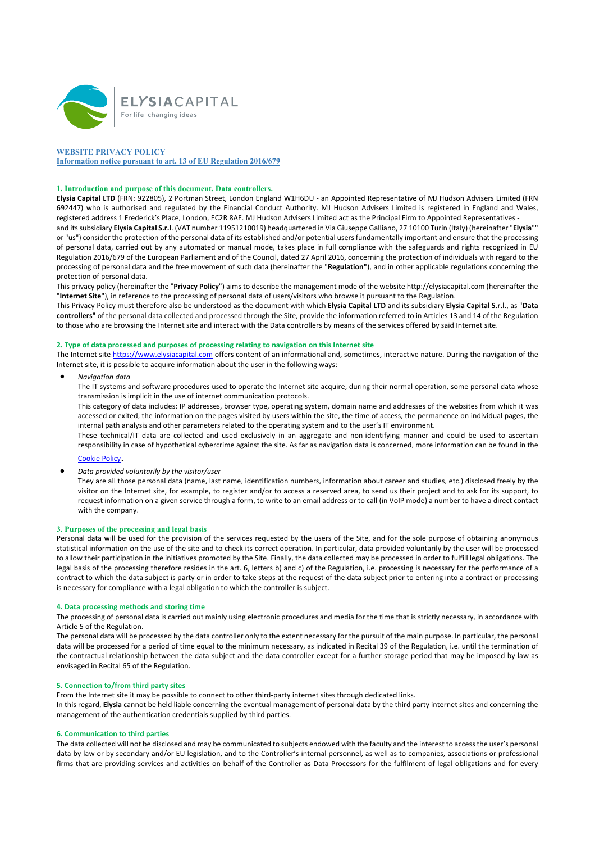

# **WEBSITE PRIVACY POLICY**

**Information notice pursuant to art. 13 of EU Regulation 2016/679**

# **1. Introduction and purpose of this document. Data controllers.**

**Elysia Capital LTD** (FRN: 922805), 2 Portman Street, London England W1H6DU - an Appointed Representative of MJ Hudson Advisers Limited (FRN 692447) who is authorised and regulated by the Financial Conduct Authority. MJ Hudson Advisers Limited is registered in England and Wales, registered address 1 Frederick's Place, London, EC2R 8AE. MJ Hudson Advisers Limited act as the Principal Firm to Appointed Representatives and its subsidiary **Elysia Capital S.r.l**. (VAT number 11951210019) headquartered in Via Giuseppe Galliano, 27 10100 Turin (Italy) (hereinafter "**Elysia**"" or "us") consider the protection of the personal data of its established and/or potential users fundamentally important and ensure that the processing

of personal data, carried out by any automated or manual mode, takes place in full compliance with the safeguards and rights recognized in EU Regulation 2016/679 of the European Parliament and of the Council, dated 27 April 2016, concerning the protection of individuals with regard to the processing of personal data and the free movement of such data (hereinafter the "**Regulation"**), and in other applicable regulations concerning the protection of personal data.

This privacy policy (hereinafter the "**Privacy Policy**") aims to describe the management mode of the website http://elysiacapital.com (hereinafter the "**Internet Site**"), in reference to the processing of personal data of users/visitors who browse it pursuant to the Regulation.

This Privacy Policy must therefore also be understood as the document with which **Elysia Capital LTD** and its subsidiary **Elysia Capital S.r.l**., as "**Data controllers"** of the personal data collected and processed through the Site, provide the information referred to in Articles 13 and 14 of the Regulation to those who are browsing the Internet site and interact with the Data controllers by means of the services offered by said Internet site.

# **2. Type of data processed and purposes of processing relating to navigation on this Internet site**

The Internet site https://www.elysiacapital.com offers content of an informational and, sometimes, interactive nature. During the navigation of the Internet site, it is possible to acquire information about the user in the following ways:

• *Navigation data*

The IT systems and software procedures used to operate the Internet site acquire, during their normal operation, some personal data whose transmission is implicit in the use of internet communication protocols.

This category of data includes: IP addresses, browser type, operating system, domain name and addresses of the websites from which it was accessed or exited, the information on the pages visited by users within the site, the time of access, the permanence on individual pages, the internal path analysis and other parameters related to the operating system and to the user's IT environment.

These technical/IT data are collected and used exclusively in an aggregate and non-identifying manner and could be used to ascertain responsibility in case of hypothetical cybercrime against the site. As far as navigation data is concerned, more information can be found in the Cookie Policy.

## • *Data provided voluntarily by the visitor/user*

They are all those personal data (name, last name, identification numbers, information about career and studies, etc.) disclosed freely by the visitor on the Internet site, for example, to register and/or to access a reserved area, to send us their project and to ask for its support, to request information on a given service through a form, to write to an email address or to call (in VoIP mode) a number to have a direct contact with the company.

### **3. Purposes of the processing and legal basis**

Personal data will be used for the provision of the services requested by the users of the Site, and for the sole purpose of obtaining anonymous statistical information on the use of the site and to check its correct operation. In particular, data provided voluntarily by the user will be processed to allow their participation in the initiatives promoted by the Site. Finally, the data collected may be processed in order to fulfill legal obligations. The legal basis of the processing therefore resides in the art. 6, letters b) and c) of the Regulation, i.e. processing is necessary for the performance of a contract to which the data subject is party or in order to take steps at the request of the data subject prior to entering into a contract or processing is necessary for compliance with a legal obligation to which the controller is subject.

## **4. Data processing methods and storing time**

The processing of personal data is carried out mainly using electronic procedures and media for the time that is strictly necessary, in accordance with Article 5 of the Regulation.

The personal data will be processed by the data controller only to the extent necessary for the pursuit of the main purpose. In particular, the personal data will be processed for a period of time equal to the minimum necessary, as indicated in Recital 39 of the Regulation, i.e. until the termination of the contractual relationship between the data subject and the data controller except for a further storage period that may be imposed by law as envisaged in Recital 65 of the Regulation.

# **5. Connection to/from third party sites**

From the Internet site it may be possible to connect to other third-party internet sites through dedicated links.

In this regard, **Elysia** cannot be held liable concerning the eventual management of personal data by the third party internet sites and concerning the management of the authentication credentials supplied by third parties.

#### **6. Communication to third parties**

The data collected will not be disclosed and may be communicated to subjects endowed with the faculty and the interest to access the user's personal data by law or by secondary and/or EU legislation, and to the Controller's internal personnel, as well as to companies, associations or professional firms that are providing services and activities on behalf of the Controller as Data Processors for the fulfilment of legal obligations and for every